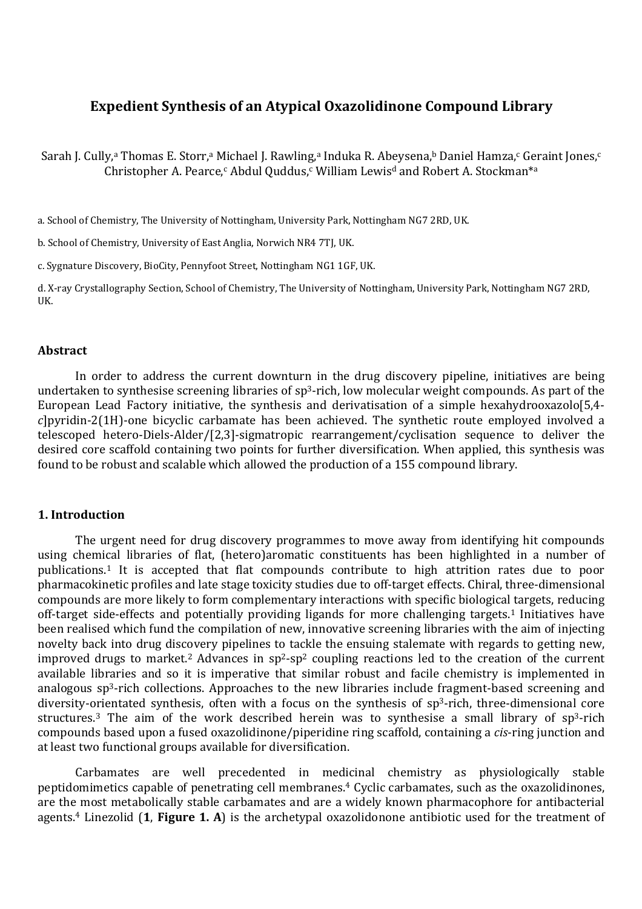# **Expedient Synthesis of an Atypical Oxazolidinone Compound Library**

Sarah J. Cully,ª Thomas E. Storr,ª Michael J. Rawling,ª Induka R. Abeysena,ʰ Daniel Hamza,¢ Geraint Jones,¢ Christopher A. Pearce,<sup>c</sup> Abdul Quddus,<sup>c</sup> William Lewis<sup>d</sup> and Robert A. Stockman<sup>\*a</sup>

a. School of Chemistry, The University of Nottingham, University Park, Nottingham NG7 2RD, UK.

b. School of Chemistry, University of East Anglia, Norwich NR4 7TJ, UK.

c. Sygnature Discovery, BioCity, Pennyfoot Street, Nottingham NG1 1GF, UK.

d. X-ray Crystallography Section, School of Chemistry, The University of Nottingham, University Park, Nottingham NG7 2RD, UK.

#### **Abstract**

In order to address the current downturn in the drug discovery pipeline, initiatives are being undertaken to synthesise screening libraries of sp<sup>3</sup>-rich, low molecular weight compounds. As part of the European Lead Factory initiative, the synthesis and derivatisation of a simple hexahydrooxazolo[5,4 *c*]pyridin-2(1H)-one bicyclic carbamate has been achieved. The synthetic route employed involved a telescoped hetero-Diels-Alder/[2,3]-sigmatropic rearrangement/cyclisation sequence to deliver the desired core scaffold containing two points for further diversification. When applied, this synthesis was found to be robust and scalable which allowed the production of a 155 compound library.

## **1. Introduction**

The urgent need for drug discovery programmes to move away from identifying hit compounds using chemical libraries of flat, (hetero)aromatic constituents has been highlighted in a number of publications.<sup>1</sup> It is accepted that flat compounds contribute to high attrition rates due to poor pharmacokinetic profiles and late stage toxicity studies due to off-target effects. Chiral, three-dimensional compounds are more likely to form complementary interactions with specific biological targets, reducing off-target side-effects and potentially providing ligands for more challenging targets.<sup>1</sup> Initiatives have been realised which fund the compilation of new, innovative screening libraries with the aim of injecting novelty back into drug discovery pipelines to tackle the ensuing stalemate with regards to getting new, improved drugs to market.<sup>2</sup> Advances in  $sp^2$ -sp<sup>2</sup> coupling reactions led to the creation of the current available libraries and so it is imperative that similar robust and facile chemistry is implemented in analogous sp<sup>3</sup>-rich collections. Approaches to the new libraries include fragment-based screening and diversity-orientated synthesis, often with a focus on the synthesis of sp<sup>3</sup>-rich, three-dimensional core structures.<sup>3</sup> The aim of the work described herein was to synthesise a small library of  $sp<sup>3</sup>$ -rich compounds based upon a fused oxazolidinone/piperidine ring scaffold, containing a *cis*-ring junction and at least two functional groups available for diversification.

Carbamates are well precedented in medicinal chemistry as physiologically stable peptidomimetics capable of penetrating cell membranes.<sup>4</sup> Cyclic carbamates, such as the oxazolidinones, are the most metabolically stable carbamates and are a widely known pharmacophore for antibacterial agents.4 Linezolid (**1**, **Figure 1. A**) is the archetypal oxazolidonone antibiotic used for the treatment of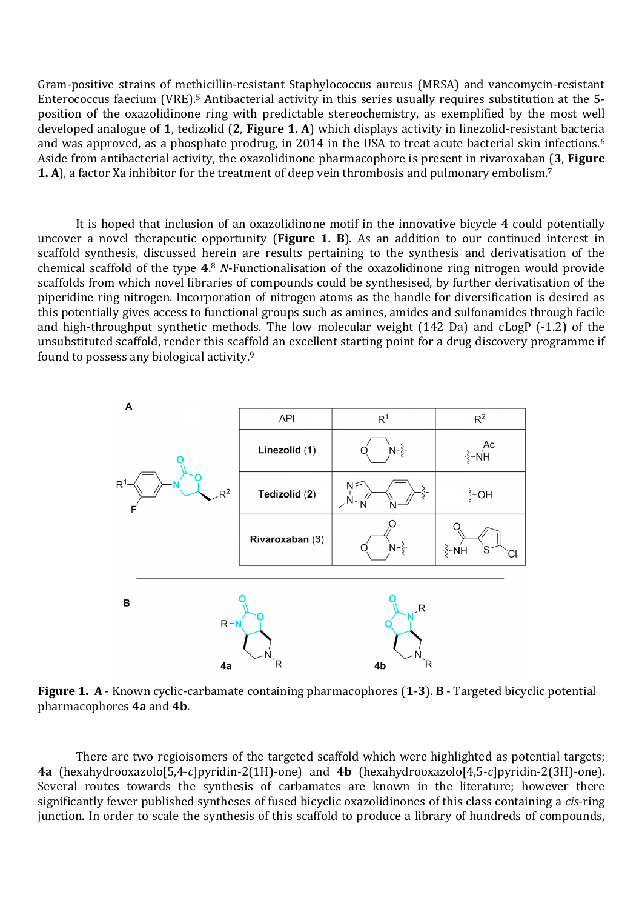Gram-positive strains of methicillin-resistant Staphylococcus aureus (MRSA) and vancomycin-resistant Enterococcus faecium (VRE).5 Antibacterial activity in this series usually requires substitution at the 5 position of the oxazolidinone ring with predictable stereochemistry, as exemplified by the most well developed analogue of **1**, tedizolid (**2**, **Figure 1. A**) which displays activity in linezolid-resistant bacteria and was approved, as a phosphate prodrug, in 2014 in the USA to treat acute bacterial skin infections.<sup>6</sup> Aside from antibacterial activity, the oxazolidinone pharmacophore is present in rivaroxaban (**3**, **Figure 1. A**), a factor Xa inhibitor for the treatment of deep vein thrombosis and pulmonary embolism.<sup>7</sup>

It is hoped that inclusion of an oxazolidinone motif in the innovative bicycle **4** could potentially uncover a novel therapeutic opportunity (**Figure 1. B**). As an addition to our continued interest in scaffold synthesis, discussed herein are results pertaining to the synthesis and derivatisation of the chemical scaffold of the type **4**. <sup>8</sup> *N*-Functionalisation of the oxazolidinone ring nitrogen would provide scaffolds from which novel libraries of compounds could be synthesised, by further derivatisation of the piperidine ring nitrogen. Incorporation of nitrogen atoms as the handle for diversification is desired as this potentially gives access to functional groups such as amines, amides and sulfonamides through facile and high-throughput synthetic methods. The low molecular weight (142 Da) and cLogP (-1.2) of the unsubstituted scaffold, render this scaffold an excellent starting point for a drug discovery programme if found to possess any biological activity.<sup>9</sup>



**Figure 1. A** - Known cyclic-carbamate containing pharmacophores (**1**-**3**). **B** - Targeted bicyclic potential pharmacophores **4a** and **4b**.

There are two regioisomers of the targeted scaffold which were highlighted as potential targets; **4a** (hexahydrooxazolo[5,4-*c*]pyridin-2(1H)-one) and **4b** (hexahydrooxazolo[4,5-*c*]pyridin-2(3H)-one). Several routes towards the synthesis of carbamates are known in the literature; however there significantly fewer published syntheses of fused bicyclic oxazolidinones of this class containing a *cis*-ring junction. In order to scale the synthesis of this scaffold to produce a library of hundreds of compounds,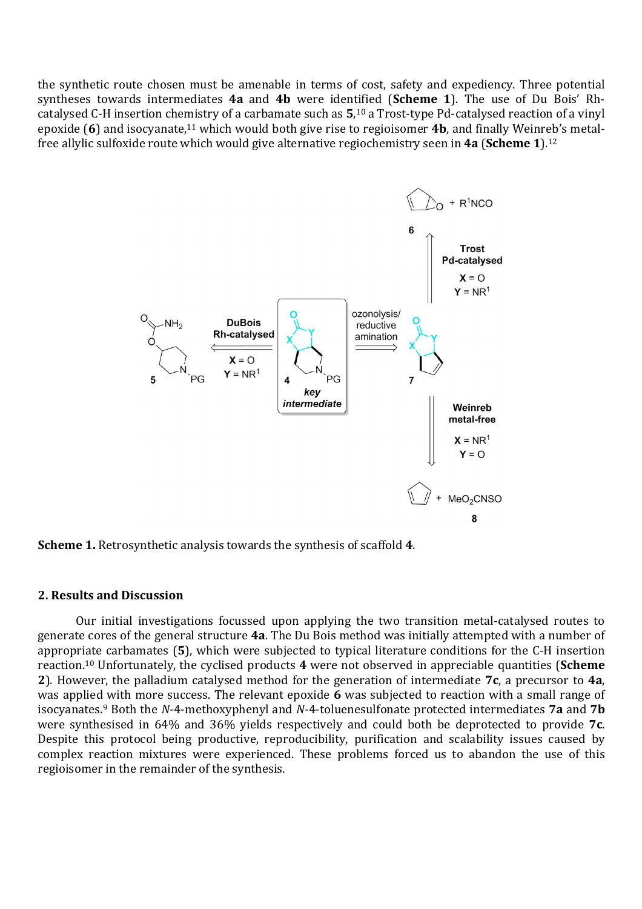the synthetic route chosen must be amenable in terms of cost, safety and expediency. Three potential syntheses towards intermediates **4a** and **4b** were identified (**Scheme 1**). The use of Du Bois' Rhcatalysed C-H insertion chemistry of a carbamate such as **5**, <sup>10</sup> a Trost-type Pd-catalysed reaction of a vinyl epoxide (**6**) and isocyanate,11 which would both give rise to regioisomer **4b**, and finally Weinreb's metalfree allylic sulfoxide route which would give alternative regiochemistry seen in **4a** (**Scheme 1**).<sup>12</sup>



**Scheme 1.** Retrosynthetic analysis towards the synthesis of scaffold **4**.

#### **2. Results and Discussion**

Our initial investigations focussed upon applying the two transition metal-catalysed routes to generate cores of the general structure **4a**. The Du Bois method was initially attempted with a number of appropriate carbamates (**5**), which were subjected to typical literature conditions for the C-H insertion reaction.<sup>10</sup> Unfortunately, the cyclised products **4** were not observed in appreciable quantities (**Scheme 2**). However, the palladium catalysed method for the generation of intermediate **7c**, a precursor to **4a**, was applied with more success. The relevant epoxide **6** was subjected to reaction with a small range of isocyanates.9 Both the *N*-4-methoxyphenyl and *N*-4-toluenesulfonate protected intermediates **7a** and **7b** were synthesised in 64% and 36% yields respectively and could both be deprotected to provide **7c**. Despite this protocol being productive, reproducibility, purification and scalability issues caused by complex reaction mixtures were experienced. These problems forced us to abandon the use of this regioisomer in the remainder of the synthesis.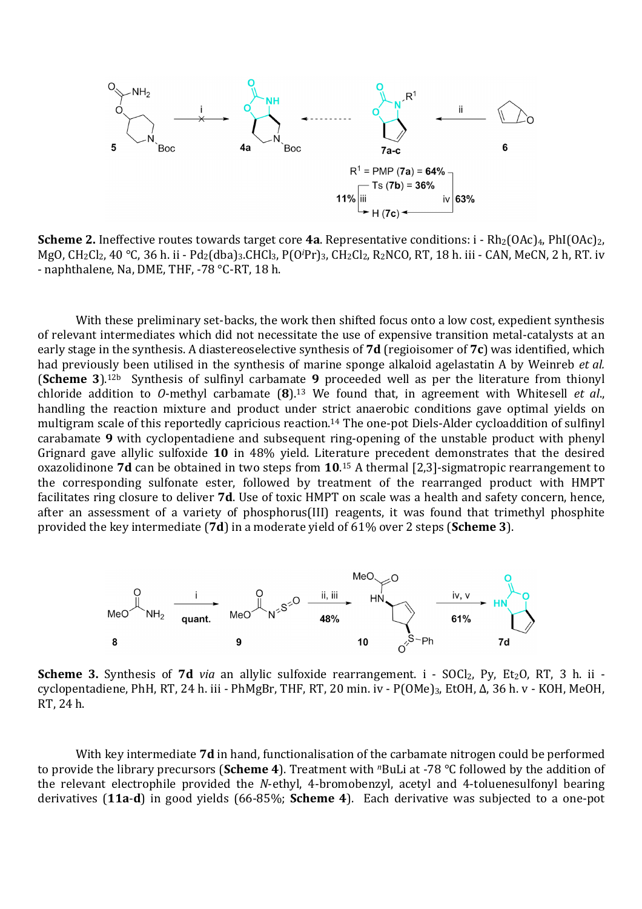

**Scheme 2.** Ineffective routes towards target core 4a. Representative conditions: i - Rh<sub>2</sub>(OAc)<sub>4</sub>, PhI(OAc)<sub>2</sub>, MgO, CH2Cl2, 40 °C, 36 h. ii - Pd2(dba)3.CHCl3, P(O*i*Pr)3, CH2Cl2, R2NCO, RT, 18 h. iii - CAN, MeCN, 2 h, RT. iv - naphthalene, Na, DME, THF, -78 °C-RT, 18 h.

With these preliminary set-backs, the work then shifted focus onto a low cost, expedient synthesis of relevant intermediates which did not necessitate the use of expensive transition metal-catalysts at an early stage in the synthesis. A diastereoselective synthesis of **7d** (regioisomer of **7c**) was identified, which had previously been utilised in the synthesis of marine sponge alkaloid agelastatin A by Weinreb *et al.* (**Scheme 3**).12b Synthesis of sulfinyl carbamate **9** proceeded well as per the literature from thionyl chloride addition to *O*-methyl carbamate (**8**).13 We found that, in agreement with Whitesell *et al*., handling the reaction mixture and product under strict anaerobic conditions gave optimal yields on multigram scale of this reportedly capricious reaction.<sup>14</sup> The one-pot Diels-Alder cycloaddition of sulfinyl carabamate **9** with cyclopentadiene and subsequent ring-opening of the unstable product with phenyl Grignard gave allylic sulfoxide **10** in 48% yield. Literature precedent demonstrates that the desired oxazolidinone **7d** can be obtained in two steps from **10**. <sup>15</sup> A thermal [2,3]-sigmatropic rearrangement to the corresponding sulfonate ester, followed by treatment of the rearranged product with HMPT facilitates ring closure to deliver **7d**. Use of toxic HMPT on scale was a health and safety concern, hence, after an assessment of a variety of phosphorus(III) reagents, it was found that trimethyl phosphite provided the key intermediate (**7d**) in a moderate yield of 61% over 2 steps (**Scheme 3**).



**Scheme 3.** Synthesis of **7d** *via* an allylic sulfoxide rearrangement. i - SOCl<sub>2</sub>, Py, Et<sub>2</sub>O, RT, 3 h. ii cyclopentadiene, PhH, RT, 24 h. iii - PhMgBr, THF, RT, 20 min. iv - P(OMe)3, EtOH, Δ, 36 h. v - KOH, MeOH, RT, 24 h.

With key intermediate **7d** in hand, functionalisation of the carbamate nitrogen could be performed to provide the library precursors (**Scheme 4**). Treatment with *<sup>n</sup>*BuLi at -78 °C followed by the addition of the relevant electrophile provided the *N*-ethyl, 4-bromobenzyl, acetyl and 4-toluenesulfonyl bearing derivatives (**11a**-**d**) in good yields (66-85%; **Scheme 4**). Each derivative was subjected to a one-pot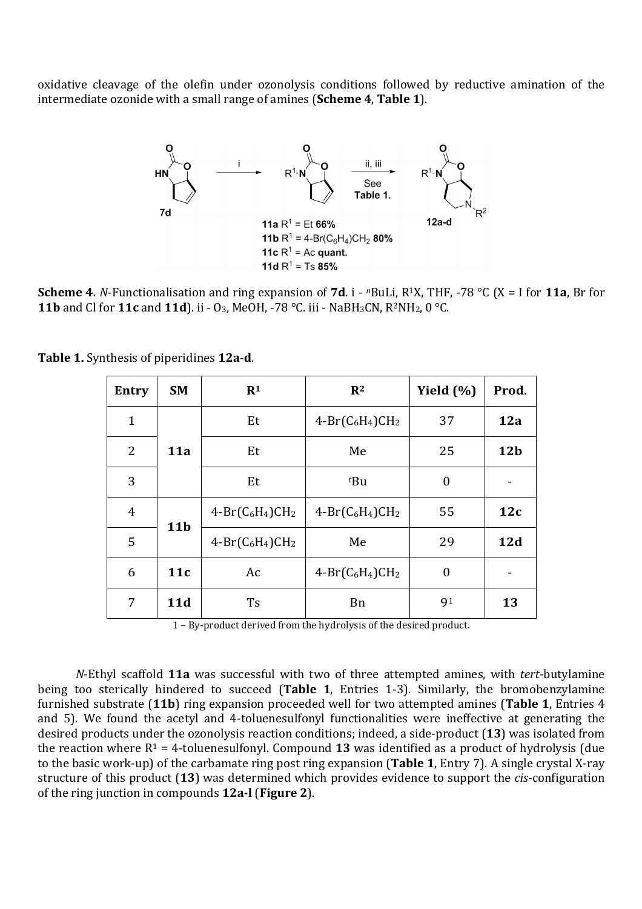oxidative cleavage of the olefin under ozonolysis conditions followed by reductive amination of the intermediate ozonide with a small range of amines (**Scheme 4**, **Table 1**).



**Scheme 4.** *N*-Functionalisation and ring expansion of **7d**. i - *n*BuLi, R1X, THF, -78 °C (X = I for **11a**, Br for **11b** and Cl for **11c** and **11d**). ii - O<sub>3</sub>, MeOH, -78 °C. iii - NaBH<sub>3</sub>CN, R<sup>2</sup>NH<sub>2</sub>, 0 °C.

|  | Table 1. Synthesis of piperidines 12a-d. |  |  |  |
|--|------------------------------------------|--|--|--|
|--|------------------------------------------|--|--|--|

| Entry        | <b>SM</b>  | R <sup>1</sup>     | $\mathbf{R}^2$     | Yield $(\% )$ | Prod.           |
|--------------|------------|--------------------|--------------------|---------------|-----------------|
| $\mathbf{1}$ |            | Et                 | $4-Br(C_6H_4)CH_2$ | 37            | 12a             |
| 2            | <b>11a</b> | Et                 | Me                 | 25            | 12 <sub>b</sub> |
| 3            |            | Et                 | $t$ Bu             | $\theta$      |                 |
| 4            | <b>11b</b> | $4-Br(C_6H_4)CH_2$ | $4-Br(C_6H_4)CH_2$ | 55            | 12c             |
| 5            |            | $4-Br(C_6H_4)CH_2$ | Me                 |               | 12d             |
| 6            | 11c        | Ac                 | $4-Br(C_6H_4)CH_2$ | $\theta$      |                 |
| 7            | 11d        | <b>Ts</b>          | <b>B</b> n         | 91            | 13              |

1 – By-product derived from the hydrolysis of the desired product.

*N*-Ethyl scaffold **11a** was successful with two of three attempted amines, with *tert*-butylamine being too sterically hindered to succeed (**Table 1**, Entries 1-3). Similarly, the bromobenzylamine furnished substrate (**11b**) ring expansion proceeded well for two attempted amines (**Table 1**, Entries 4 and 5). We found the acetyl and 4-toluenesulfonyl functionalities were ineffective at generating the desired products under the ozonolysis reaction conditions; indeed, a side-product (**13**) was isolated from the reaction where  $R^1 = 4$ -toluenesulfonyl. Compound 13 was identified as a product of hydrolysis (due to the basic work-up) of the carbamate ring post ring expansion (**Table 1**, Entry 7). A single crystal X-ray structure of this product (**13**) was determined which provides evidence to support the *cis*-configuration of the ring junction in compounds **12a-l** (**Figure 2**).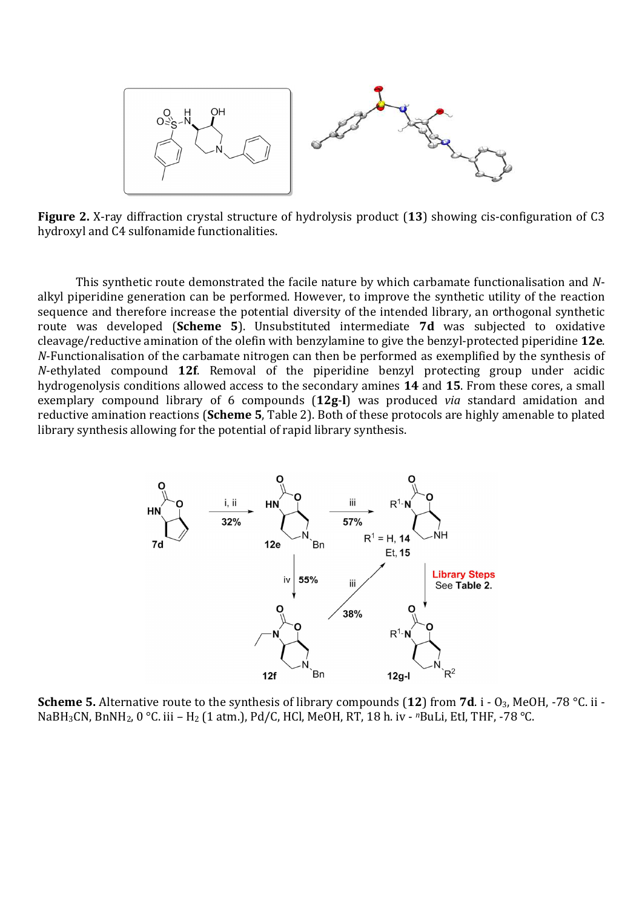

**Figure 2.** X-ray diffraction crystal structure of hydrolysis product (**13**) showing cis-configuration of C3 hydroxyl and C4 sulfonamide functionalities.

This synthetic route demonstrated the facile nature by which carbamate functionalisation and *N*alkyl piperidine generation can be performed. However, to improve the synthetic utility of the reaction sequence and therefore increase the potential diversity of the intended library, an orthogonal synthetic route was developed (**Scheme 5**). Unsubstituted intermediate **7d** was subjected to oxidative cleavage/reductive amination of the olefin with benzylamine to give the benzyl-protected piperidine **12e**. *N*-Functionalisation of the carbamate nitrogen can then be performed as exemplified by the synthesis of *N*-ethylated compound **12f**. Removal of the piperidine benzyl protecting group under acidic hydrogenolysis conditions allowed access to the secondary amines **14** and **15**. From these cores, a small exemplary compound library of 6 compounds (**12g**-**l**) was produced *via* standard amidation and reductive amination reactions (**Scheme 5**, Table 2). Both of these protocols are highly amenable to plated library synthesis allowing for the potential of rapid library synthesis.



**Scheme 5.** Alternative route to the synthesis of library compounds (**12**) from **7d**. i - O3, MeOH, -78 °C. ii - NaBH3CN, BnNH2, 0 °C. iii – H2 (1 atm.), Pd/C, HCl, MeOH, RT, 18 h. iv - *<sup>n</sup>*BuLi, EtI, THF, -78 °C.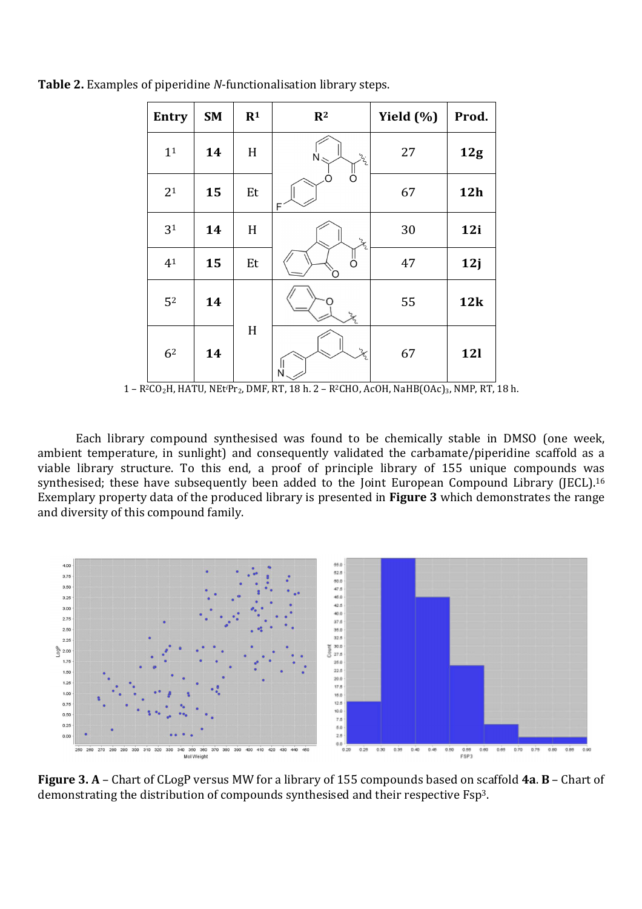| <b>Entry</b>   | <b>SM</b> | R <sup>1</sup> | $\mathbb{R}^2$                       | Yield (%) | Prod.      |
|----------------|-----------|----------------|--------------------------------------|-----------|------------|
| 1 <sup>1</sup> | 14        | H              | $\zeta^2$<br>$\dot{N}$               | 27        | 12g        |
| 2 <sup>1</sup> | 15        | Et             | F                                    | 67        | <b>12h</b> |
| 3 <sup>1</sup> | 14        | H              | $z^{2}$                              | 30        | 12i        |
| 4 <sup>1</sup> | 15        | Et             | ő<br>∩                               | 47        | 12j        |
| 5 <sup>2</sup> | 14        | H              |                                      | 55        | 12k        |
| 6 <sup>2</sup> | 14        |                | $\mathcal{Z}_{\!\!\mathcal{L}}$<br>Ń | 67        | <b>12l</b> |

**Table 2.** Examples of piperidine *N*-functionalisation library steps.

Each library compound synthesised was found to be chemically stable in DMSO (one week, ambient temperature, in sunlight) and consequently validated the carbamate/piperidine scaffold as a viable library structure. To this end, a proof of principle library of 155 unique compounds was synthesised; these have subsequently been added to the Joint European Compound Library (JECL).<sup>16</sup> Exemplary property data of the produced library is presented in **Figure 3** which demonstrates the range and diversity of this compound family.



**Figure 3. A** – Chart of CLogP versus MW for a library of 155 compounds based on scaffold **4a**. **B** – Chart of demonstrating the distribution of compounds synthesised and their respective Fsp3.

<sup>1 –</sup> R2CO2H, HATU, NEt*i*Pr2, DMF, RT, 18 h. 2 – R2CHO, AcOH, NaHB(OAc)3, NMP, RT, 18 h.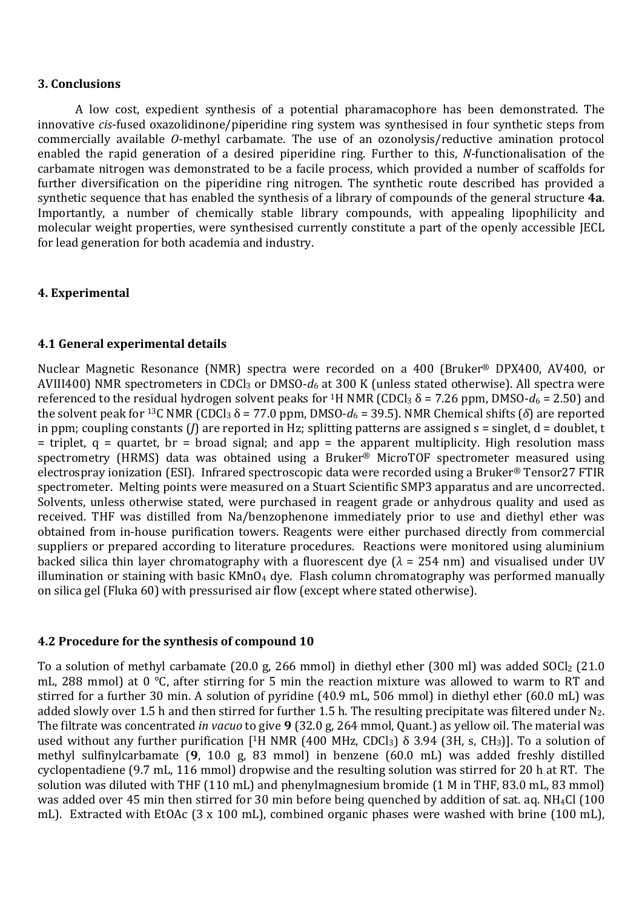## **3. Conclusions**

A low cost, expedient synthesis of a potential pharamacophore has been demonstrated. The innovative *cis*-fused oxazolidinone/piperidine ring system was synthesised in four synthetic steps from commercially available *O*-methyl carbamate. The use of an ozonolysis/reductive amination protocol enabled the rapid generation of a desired piperidine ring. Further to this, *N*-functionalisation of the carbamate nitrogen was demonstrated to be a facile process, which provided a number of scaffolds for further diversification on the piperidine ring nitrogen. The synthetic route described has provided a synthetic sequence that has enabled the synthesis of a library of compounds of the general structure **4a**. Importantly, a number of chemically stable library compounds, with appealing lipophilicity and molecular weight properties, were synthesised currently constitute a part of the openly accessible JECL for lead generation for both academia and industry.

## **4. Experimental**

## **4.1 General experimental details**

Nuclear Magnetic Resonance (NMR) spectra were recorded on a 400 (Bruker® DPX400, AV400, or AVIII400) NMR spectrometers in CDCl3 or DMSO-*d*6 at 300 K (unless stated otherwise). All spectra were referenced to the residual hydrogen solvent peaks for <sup>1</sup>H NMR (CDCl<sub>3</sub>  $\delta$  = 7.26 ppm, DMSO- $d_6$  = 2.50) and the solvent peak for <sup>13</sup>C NMR (CDCl<sub>3</sub> δ = 77.0 ppm, DMSO- $d_6$  = 39.5). NMR Chemical shifts (δ) are reported in ppm; coupling constants (*J*) are reported in Hz; splitting patterns are assigned s = singlet, d = doublet, t  $=$  triplet,  $q =$  quartet, br = broad signal; and app = the apparent multiplicity. High resolution mass spectrometry (HRMS) data was obtained using a Bruker® MicroTOF spectrometer measured using electrospray ionization (ESI). Infrared spectroscopic data were recorded using a Bruker® Tensor27 FTIR spectrometer. Melting points were measured on a Stuart Scientific SMP3 apparatus and are uncorrected. Solvents, unless otherwise stated, were purchased in reagent grade or anhydrous quality and used as received. THF was distilled from Na/benzophenone immediately prior to use and diethyl ether was obtained from in-house purification towers. Reagents were either purchased directly from commercial suppliers or prepared according to literature procedures. Reactions were monitored using aluminium backed silica thin layer chromatography with a fluorescent dye  $(\lambda = 254 \text{ nm})$  and visualised under UV illumination or staining with basic  $KMnO_4$  dye. Flash column chromatography was performed manually on silica gel (Fluka 60) with pressurised air flow (except where stated otherwise).

## **4.2 Procedure for the synthesis of compound 10**

To a solution of methyl carbamate (20.0 g, 266 mmol) in diethyl ether (300 ml) was added SOCl<sub>2</sub> (21.0 mL, 288 mmol) at 0 °C, after stirring for 5 min the reaction mixture was allowed to warm to RT and stirred for a further 30 min. A solution of pyridine (40.9 mL, 506 mmol) in diethyl ether (60.0 mL) was added slowly over 1.5 h and then stirred for further 1.5 h. The resulting precipitate was filtered under  $N_2$ . The filtrate was concentrated *in vacuo* to give **9** (32.0 g, 264 mmol, Quant.) as yellow oil. The material was used without any further purification [<sup>1</sup>H NMR (400 MHz, CDCl<sub>3</sub>)  $\delta$  3.94 (3H, s, CH<sub>3</sub>)]. To a solution of methyl sulfinylcarbamate (**9**, 10.0 g, 83 mmol) in benzene (60.0 mL) was added freshly distilled cyclopentadiene (9.7 mL, 116 mmol) dropwise and the resulting solution was stirred for 20 h at RT. The solution was diluted with THF (110 mL) and phenylmagnesium bromide (1 M in THF, 83.0 mL, 83 mmol) was added over 45 min then stirred for 30 min before being quenched by addition of sat. aq. NH4Cl (100 mL). Extracted with EtOAc (3 x 100 mL), combined organic phases were washed with brine (100 mL),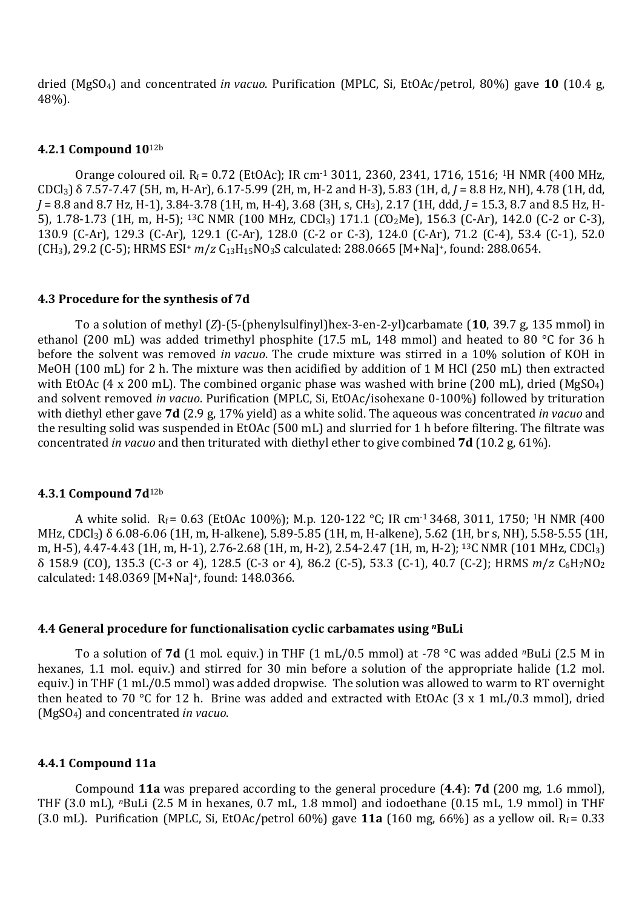dried (MgSO4) and concentrated *in vacuo*. Purification (MPLC, Si, EtOAc/petrol, 80%) gave **10** (10.4 g, 48%).

#### **4.2.1 Compound 10**12b

Orange coloured oil.  $R_f = 0.72$  (EtOAc); IR cm<sup>-1</sup> 3011, 2360, 2341, 1716, 1516; <sup>1</sup>H NMR (400 MHz, CDCl3) δ 7.57-7.47 (5H, m, H-Ar), 6.17-5.99 (2H, m, H-2 and H-3), 5.83 (1H, d, *J* = 8.8 Hz, NH), 4.78 (1H, dd, *J* = 8.8 and 8.7 Hz, H-1), 3.84-3.78 (1H, m, H-4), 3.68 (3H, s, CH3), 2.17 (1H, ddd, *J* = 15.3, 8.7 and 8.5 Hz, H-5), 1.78-1.73 (1H, m, H-5); 13C NMR (100 MHz, CDCl3) 171.1 (*C*O2Me), 156.3 (C-Ar), 142.0 (C-2 or C-3), 130.9 (C-Ar), 129.3 (C-Ar), 129.1 (C-Ar), 128.0 (C-2 or C-3), 124.0 (C-Ar), 71.2 (C-4), 53.4 (C-1), 52.0 (CH3), 29.2 (C-5); HRMS ESI<sup>+</sup> *m*/*z* C13H15NO3S calculated: 288.0665 [M+Na]<sup>+</sup>, found: 288.0654.

#### **4.3 Procedure for the synthesis of 7d**

To a solution of methyl (*Z*)-(5-(phenylsulfinyl)hex-3-en-2-yl)carbamate(**10**, 39.7 g, 135 mmol) in ethanol (200 mL) was added trimethyl phosphite (17.5 mL, 148 mmol) and heated to 80 °C for 36 h before the solvent was removed *in vacuo*. The crude mixture was stirred in a 10% solution of KOH in MeOH (100 mL) for 2 h. The mixture was then acidified by addition of 1 M HCl (250 mL) then extracted with EtOAc (4 x 200 mL). The combined organic phase was washed with brine (200 mL), dried (MgSO<sub>4</sub>) and solvent removed *in vacuo*. Purification (MPLC, Si, EtOAc/isohexane 0-100%) followed by trituration with diethyl ether gave **7d** (2.9 g, 17% yield) as a white solid. The aqueous was concentrated *in vacuo* and the resulting solid was suspended in EtOAc (500 mL) and slurried for 1 h before filtering. The filtrate was concentrated *in vacuo* and then triturated with diethyl ether to give combined **7d** (10.2 g, 61%).

#### **4.3.1 Compound 7d**12b

A white solid. R<sub>f</sub> = 0.63 (EtOAc 100%); M.p. 120-122 °C; IR cm<sup>-1</sup> 3468, 3011, 1750; <sup>1</sup>H NMR (400 MHz, CDCl3) δ 6.08-6.06 (1H, m, H-alkene), 5.89-5.85 (1H, m, H-alkene), 5.62 (1H, br s, NH), 5.58-5.55 (1H, m, H-5), 4.47-4.43 (1H, m, H-1), 2.76-2.68 (1H, m, H-2), 2.54-2.47 (1H, m, H-2); <sup>13</sup>C NMR (101 MHz, CDCl<sub>3</sub>) δ 158.9 (CO), 135.3 (C-3 or 4), 128.5 (C-3 or 4), 86.2 (C-5), 53.3 (C-1), 40.7 (C-2); HRMS *m*/*z* C6H7NO<sup>2</sup> calculated: 148.0369 [M+Na]+, found: 148.0366.

#### **4.4 General procedure for functionalisation cyclic carbamates using** *<sup>n</sup>***BuLi**

To a solution of **7d** (1 mol. equiv.) in THF (1 mL/0.5 mmol) at -78 °C was added *n*BuLi (2.5 M in hexanes, 1.1 mol. equiv.) and stirred for 30 min before a solution of the appropriate halide (1.2 mol. equiv.) in THF (1 mL/0.5 mmol) was added dropwise. The solution was allowed to warm to RT overnight then heated to 70 °C for 12 h. Brine was added and extracted with EtOAc (3 x 1 mL/0.3 mmol), dried (MgSO4) and concentrated *in vacuo*.

#### **4.4.1 Compound 11a**

Compound **11a** was prepared according to the general procedure (**4.4**): **7d** (200 mg, 1.6 mmol), THF (3.0 mL), *n*BuLi (2.5 M in hexanes, 0.7 mL, 1.8 mmol) and iodoethane (0.15 mL, 1.9 mmol) in THF (3.0 mL). Purification (MPLC, Si, EtOAc/petrol 60%) gave **11a** (160 mg, 66%) as a yellow oil.  $R_f = 0.33$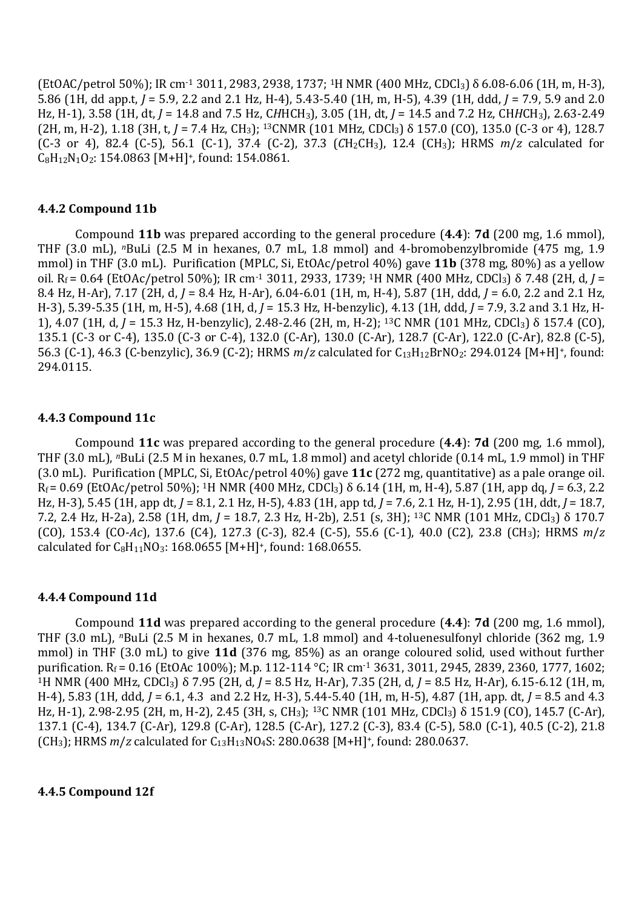(EtOAC/petrol 50%); IR cm-1 3011, 2983, 2938, 1737; 1H NMR (400 MHz, CDCl3) δ 6.08-6.06 (1H, m, H-3), 5.86 (1H, dd app.t, *J* = 5.9, 2.2 and 2.1 Hz, H-4), 5.43-5.40 (1H, m, H-5), 4.39 (1H, ddd, *J* = 7.9, 5.9 and 2.0 Hz, H-1), 3.58 (1H, dt, *J* = 14.8 and 7.5 Hz, C*H*HCH3), 3.05 (1H, dt, *J* = 14.5 and 7.2 Hz, CH*H*CH3), 2.63-2.49 (2H, m, H-2), 1.18 (3H, t, *J* = 7.4 Hz, CH3); 13CNMR (101 MHz, CDCl3) δ 157.0 (CO), 135.0 (C-3 or 4), 128.7 (C-3 or 4), 82.4 (C-5), 56.1 (C-1), 37.4 (C-2), 37.3 (*C*H2CH3), 12.4 (CH3); HRMS *m*/*z* calculated for  $C_8H_{12}N_1O_2$ : 154.0863 [M+H]<sup>+</sup>, found: 154.0861.

## **4.4.2 Compound 11b**

Compound **11b** was prepared according to the general procedure (**4.4**): **7d** (200 mg, 1.6 mmol), THF (3.0 mL), *<sup>n</sup>*BuLi (2.5 M in hexanes, 0.7 mL, 1.8 mmol) and 4-bromobenzylbromide (475 mg, 1.9 mmol) in THF (3.0 mL). Purification (MPLC, Si, EtOAc/petrol 40%) gave **11b** (378 mg, 80%) as a yellow oil. Rf = 0.64 (EtOAc/petrol 50%); IR cm-1 3011, 2933, 1739; 1H NMR (400 MHz, CDCl3) δ 7.48 (2H, d, *J* = 8.4 Hz, H-Ar), 7.17 (2H, d, *J* = 8.4 Hz, H-Ar), 6.04-6.01 (1H, m, H-4), 5.87 (1H, ddd, *J* = 6.0, 2.2 and 2.1 Hz, H-3), 5.39-5.35 (1H, m, H-5), 4.68 (1H, d, *J* = 15.3 Hz, H-benzylic), 4.13 (1H, ddd, *J* = 7.9, 3.2 and 3.1 Hz, H-1), 4.07 (1H, d, *J* = 15.3 Hz, H-benzylic), 2.48-2.46 (2H, m, H-2); 13C NMR (101 MHz, CDCl3) δ 157.4 (CO), 135.1 (C-3 or C-4), 135.0 (C-3 or C-4), 132.0 (C-Ar), 130.0 (C-Ar), 128.7 (C-Ar), 122.0 (C-Ar), 82.8 (C-5), 56.3 (C-1), 46.3 (C-benzylic), 36.9 (C-2); HRMS *m*/*z* calculated for C13H12BrNO2: 294.0124 [M+H]<sup>+</sup>, found: 294.0115.

## **4.4.3 Compound 11c**

Compound **11c** was prepared according to the general procedure (**4.4**): **7d** (200 mg, 1.6 mmol), THF (3.0 mL), *n*BuLi (2.5 M in hexanes, 0.7 mL, 1.8 mmol) and acetyl chloride (0.14 mL, 1.9 mmol) in THF (3.0 mL). Purification (MPLC, Si, EtOAc/petrol 40%) gave **11c** (272 mg, quantitative) as a pale orange oil. Rf = 0.69 (EtOAc/petrol 50%); 1H NMR (400 MHz, CDCl3) δ 6.14 (1H, m, H-4), 5.87 (1H, app dq, *J* = 6.3, 2.2 Hz, H-3), 5.45 (1H, app dt, *J* = 8.1, 2.1 Hz, H-5), 4.83 (1H, app td, *J* = 7.6, 2.1 Hz, H-1), 2.95 (1H, ddt, *J* = 18.7, 7.2, 2.4 Hz, H-2a), 2.58 (1H, dm, *J* = 18.7, 2.3 Hz, H-2b), 2.51 (s, 3H); 13C NMR (101 MHz, CDCl3) δ 170.7 (CO), 153.4 (CO-*Ac*), 137.6 (C4), 127.3 (C-3), 82.4 (C-5), 55.6 (C-1), 40.0 (C2), 23.8 (CH3); HRMS *m*/*z* calculated for  $C_8H_{11}NO_3$ : 168.0655 [M+H]<sup>+</sup>, found: 168.0655.

#### **4.4.4 Compound 11d**

Compound **11d** was prepared according to the general procedure (**4.4**): **7d** (200 mg, 1.6 mmol), THF (3.0 mL), *n*BuLi (2.5 M in hexanes, 0.7 mL, 1.8 mmol) and 4-toluenesulfonyl chloride (362 mg, 1.9 mmol) in THF (3.0 mL) to give **11d** (376 mg, 85%) as an orange coloured solid, used without further purification. R<sub>f</sub> = 0.16 (EtOAc 100%); M.p. 112-114 °C; IR cm<sup>-1</sup> 3631, 3011, 2945, 2839, 2360, 1777, 1602; <sup>1</sup>H NMR (400 MHz, CDCl3) δ 7.95 (2H, d, *J* = 8.5 Hz, H-Ar), 7.35 (2H, d, *J* = 8.5 Hz, H-Ar), 6.15-6.12 (1H, m, H-4), 5.83 (1H, ddd, *J* = 6.1, 4.3 and 2.2 Hz, H-3), 5.44-5.40 (1H, m, H-5), 4.87 (1H, app. dt, *J* = 8.5 and 4.3 Hz, H-1), 2.98-2.95 (2H, m, H-2), 2.45 (3H, s, CH3); <sup>13</sup>C NMR (101 MHz, CDCl3) δ 151.9 (CO), 145.7 (C-Ar), 137.1 (C-4), 134.7 (C-Ar), 129.8 (C-Ar), 128.5 (C-Ar), 127.2 (C-3), 83.4 (C-5), 58.0 (C-1), 40.5 (C-2), 21.8 (CH3); HRMS *m*/*z* calculated for C13H13NO4S: 280.0638 [M+H]<sup>+</sup>, found: 280.0637.

#### **4.4.5 Compound 12f**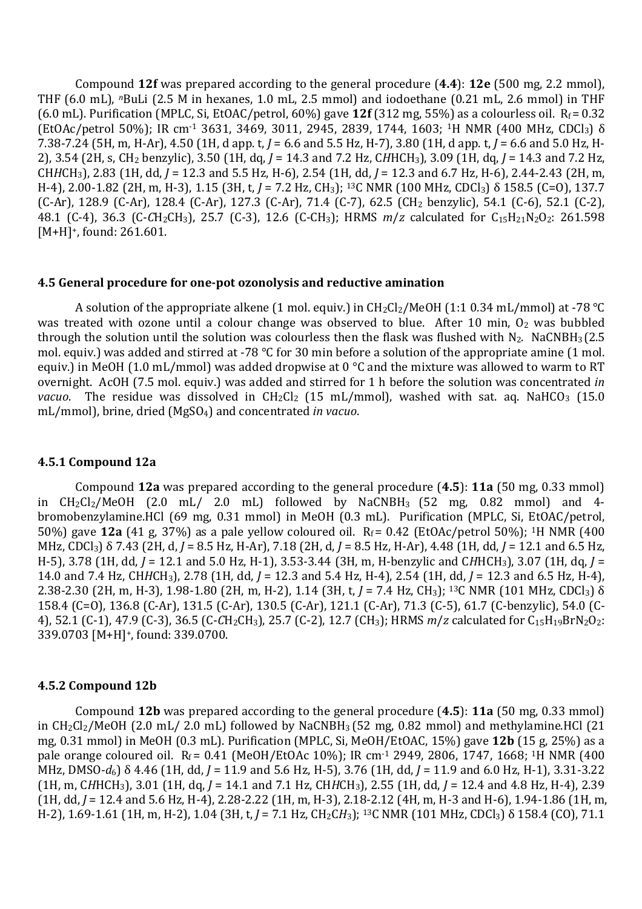Compound **12f** was prepared according to the general procedure (**4.4**): **12e** (500 mg, 2.2 mmol), THF (6.0 mL), *n*BuLi (2.5 M in hexanes, 1.0 mL, 2.5 mmol) and iodoethane (0.21 mL, 2.6 mmol) in THF (6.0 mL). Purification (MPLC, Si, EtOAC/petrol,  $60\%$ ) gave  $12f(312 \text{ mg}, 55\%)$  as a colourless oil.  $R_f = 0.32$ (EtOAc/petrol 50%); IR cm-1 3631, 3469, 3011, 2945, 2839, 1744, 1603; 1H NMR (400 MHz, CDCl3) δ 7.38-7.24 (5H, m, H-Ar), 4.50 (1H, d app. t, *J* = 6.6 and 5.5 Hz, H-7), 3.80 (1H, d app. t, *J* = 6.6 and 5.0 Hz, H-2), 3.54 (2H, s, CH2 benzylic), 3.50 (1H, dq, *J* = 14.3 and 7.2 Hz, C*H*HCH3), 3.09 (1H, dq, *J* = 14.3 and 7.2 Hz, CH*H*CH3), 2.83 (1H, dd, *J* = 12.3 and 5.5 Hz, H-6), 2.54 (1H, dd, *J* = 12.3 and 6.7 Hz, H-6), 2.44-2.43 (2H, m, H-4), 2.00-1.82 (2H, m, H-3), 1.15 (3H, t, *J* = 7.2 Hz, CH3); <sup>13</sup>C NMR (100 MHz, CDCl3) δ 158.5 (C=O), 137.7 (C-Ar), 128.9 (C-Ar), 128.4 (C-Ar), 127.3 (C-Ar), 71.4 (C-7), 62.5 (CH2 benzylic), 54.1 (C-6), 52.1 (C-2), 48.1 (C-4), 36.3 (C-CH<sub>2</sub>CH<sub>3</sub>), 25.7 (C-3), 12.6 (C-CH<sub>3</sub>); HRMS *m/z* calculated for C<sub>15</sub>H<sub>21</sub>N<sub>2</sub>O<sub>2</sub>: 261.598 [M+H]<sup>+</sup>, found: 261.601.

#### **4.5 General procedure for one-pot ozonolysis and reductive amination**

A solution of the appropriate alkene (1 mol. equiv.) in  $CH_2Cl_2/MeOH$  (1:1 0.34 mL/mmol) at -78 °C was treated with ozone until a colour change was observed to blue. After 10 min, O<sub>2</sub> was bubbled through the solution until the solution was colourless then the flask was flushed with  $N_2$ . NaCNBH<sub>3</sub> (2.5) mol. equiv.) was added and stirred at -78  $^{\circ}$ C for 30 min before a solution of the appropriate amine (1 mol. equiv.) in MeOH (1.0 mL/mmol) was added dropwise at 0 °C and the mixture was allowed to warm to RT overnight. AcOH (7.5 mol. equiv.) was added and stirred for 1 h before the solution was concentrated *in vacuo*. The residue was dissolved in  $CH_2Cl_2$  (15 mL/mmol), washed with sat. aq. NaHCO<sub>3</sub> (15.0) mL/mmol), brine, dried (MgSO4) and concentrated *in vacuo*.

#### **4.5.1 Compound 12a**

Compound **12a** was prepared according to the general procedure (**4.5**): **11a** (50 mg, 0.33 mmol) in  $CH_2Cl_2/MeOH$  (2.0 mL/ 2.0 mL) followed by NaCNBH<sub>3</sub> (52 mg, 0.82 mmol) and 4bromobenzylamine.HCl (69 mg, 0.31 mmol) in MeOH (0.3 mL). Purification (MPLC, Si, EtOAC/petrol, 50%) gave **12a** (41 g, 37%) as a pale yellow coloured oil.Rf = 0.42 (EtOAc/petrol 50%); 1H NMR (400 MHz, CDCl3) δ 7.43 (2H, d, *J* = 8.5 Hz, H-Ar), 7.18 (2H, d, *J* = 8.5 Hz, H-Ar), 4.48 (1H, dd, *J* = 12.1 and 6.5 Hz, H-5), 3.78 (1H, dd, *J* = 12.1 and 5.0 Hz, H-1), 3.53-3.44 (3H, m, H-benzylic and C*H*HCH3), 3.07 (1H, dq, *J* = 14.0 and 7.4 Hz, CH*H*CH3), 2.78 (1H, dd, *J* = 12.3 and 5.4 Hz, H-4), 2.54 (1H, dd, *J* = 12.3 and 6.5 Hz, H-4), 2.38-2.30 (2H, m, H-3), 1.98-1.80 (2H, m, H-2), 1.14 (3H, t, *J* = 7.4 Hz, CH3); 13C NMR (101 MHz, CDCl3) δ 158.4 (C=O), 136.8 (C-Ar), 131.5 (C-Ar), 130.5 (C-Ar), 121.1 (C-Ar), 71.3 (C-5), 61.7 (C-benzylic), 54.0 (C-4), 52.1 (C-1), 47.9 (C-3), 36.5 (C-CH<sub>2</sub>CH<sub>3</sub>), 25.7 (C-2), 12.7 (CH<sub>3</sub>); HRMS *m/z* calculated for C<sub>15</sub>H<sub>19</sub>BrN<sub>2</sub>O<sub>2</sub>: 339.0703 [M+H]+, found: 339.0700.

#### **4.5.2 Compound 12b**

Compound **12b** was prepared according to the general procedure (**4.5**): **11a** (50 mg, 0.33 mmol) in  $CH_2Cl_2/MeOH$  (2.0 mL/ 2.0 mL) followed by NaCNBH<sub>3</sub> (52 mg, 0.82 mmol) and methylamine.HCl (21 mg, 0.31 mmol) in MeOH (0.3 mL). Purification (MPLC, Si, MeOH/EtOAC, 15%) gave **12b** (15 g, 25%) as a pale orange coloured oil. R<sub>f</sub> = 0.41 (MeOH/EtOAc 10%); IR cm<sup>-1</sup> 2949, 2806, 1747, 1668; <sup>1</sup>H NMR (400 MHz, DMSO-*d*6) δ 4.46 (1H, dd, *J* = 11.9 and 5.6 Hz, H-5), 3.76 (1H, dd, *J* = 11.9 and 6.0 Hz, H-1), 3.31-3.22 (1H, m, C*H*HCH3), 3.01 (1H, dq, *J* = 14.1 and 7.1 Hz, CH*H*CH3), 2.55 (1H, dd, *J* = 12.4 and 4.8 Hz, H-4), 2.39 (1H, dd, *J* = 12.4 and 5.6 Hz, H-4), 2.28-2.22 (1H, m, H-3), 2.18-2.12 (4H, m, H-3 and H-6), 1.94-1.86 (1H, m, H-2), 1.69-1.61 (1H, m, H-2), 1.04 (3H, t, *J* = 7.1 Hz, CH2C*H*3); 13C NMR (101 MHz, CDCl3) δ 158.4 (CO), 71.1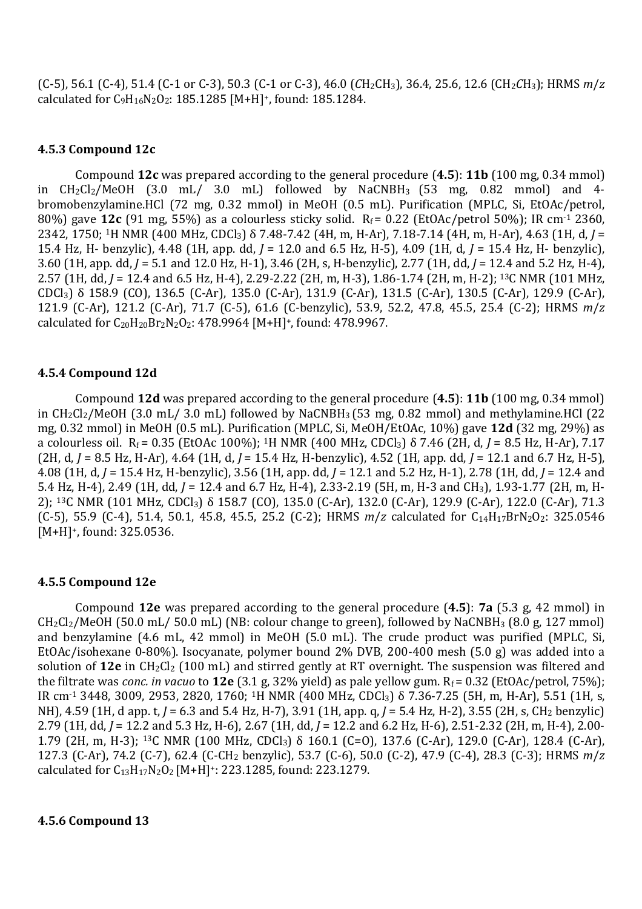$(C-5)$ , 56.1  $(C-4)$ , 51.4  $(C-1 \text{ or } C-3)$ , 50.3  $(C-1 \text{ or } C-3)$ , 46.0  $(CH_2CH_3)$ , 36.4, 25.6, 12.6  $(CH_2CH_3)$ ; HRMS  $m/z$ calculated for C9H16N2O2: 185.1285 [M+H]+, found: 185.1284.

## **4.5.3 Compound 12c**

Compound **12c** was prepared according to the general procedure (**4.5**): **11b** (100 mg, 0.34 mmol) in  $CH_2Cl_2/MeOH$  (3.0 mL/ 3.0 mL) followed by NaCNBH<sub>3</sub> (53 mg, 0.82 mmol) and 4bromobenzylamine.HCl (72 mg, 0.32 mmol) in MeOH (0.5 mL). Purification (MPLC, Si, EtOAc/petrol, 80%) gave **12c** (91 mg, 55%) as a colourless sticky solid. R<sub>f</sub> = 0.22 (EtOAc/petrol 50%); IR cm<sup>-1</sup> 2360, 2342, 1750; <sup>1</sup>H NMR (400 MHz, CDCl3) δ 7.48-7.42 (4H, m, H-Ar), 7.18-7.14 (4H, m, H-Ar), 4.63 (1H, d, *J* = 15.4 Hz, H- benzylic), 4.48 (1H, app. dd, *J* = 12.0 and 6.5 Hz, H-5), 4.09 (1H, d, *J* = 15.4 Hz, H- benzylic), 3.60 (1H, app. dd, *J* = 5.1 and 12.0 Hz, H-1), 3.46 (2H, s, H-benzylic), 2.77 (1H, dd, *J* = 12.4 and 5.2 Hz, H-4), 2.57 (1H, dd, *J* = 12.4 and 6.5 Hz, H-4), 2.29-2.22 (2H, m, H-3), 1.86-1.74 (2H, m, H-2); 13C NMR (101 MHz, CDCl3) δ 158.9 (CO), 136.5 (C-Ar), 135.0 (C-Ar), 131.9 (C-Ar), 131.5 (C-Ar), 130.5 (C-Ar), 129.9 (C-Ar), 121.9 (C-Ar), 121.2 (C-Ar), 71.7 (C-5), 61.6 (C-benzylic), 53.9, 52.2, 47.8, 45.5, 25.4 (C-2); HRMS *m*/*z* calculated for C20H20Br2N2O2: 478.9964 [M+H]+, found: 478.9967.

## **4.5.4 Compound 12d**

Compound **12d** was prepared according to the general procedure (**4.5**): **11b** (100 mg, 0.34 mmol) in CH2Cl2/MeOH (3.0 mL/ 3.0 mL) followed by NaCNBH3 (53 mg, 0.82 mmol) and methylamine.HCl (22 mg, 0.32 mmol) in MeOH (0.5 mL). Purification (MPLC, Si, MeOH/EtOAc, 10%) gave **12d** (32 mg, 29%) as a colourless oil.Rf = 0.35 (EtOAc 100%); <sup>1</sup>H NMR (400 MHz, CDCl3) δ 7.46 (2H, d, *J* = 8.5 Hz, H-Ar), 7.17 (2H, d, *J* = 8.5 Hz, H-Ar), 4.64 (1H, d, *J* = 15.4 Hz, H-benzylic), 4.52 (1H, app. dd, *J* = 12.1 and 6.7 Hz, H-5), 4.08 (1H, d, *J* = 15.4 Hz, H-benzylic), 3.56 (1H, app. dd, *J* = 12.1 and 5.2 Hz, H-1), 2.78 (1H, dd, *J* = 12.4 and 5.4 Hz, H-4), 2.49 (1H, dd, *J* = 12.4 and 6.7 Hz, H-4), 2.33-2.19 (5H, m, H-3 and CH3), 1.93-1.77 (2H, m, H-2); 13C NMR (101 MHz, CDCl3) δ 158.7 (CO), 135.0 (C-Ar), 132.0 (C-Ar), 129.9 (C-Ar), 122.0 (C-Ar), 71.3 (C-5), 55.9 (C-4), 51.4, 50.1, 45.8, 45.5, 25.2 (C-2); HRMS  $m/z$  calculated for  $C_{14}H_{17}BrN_2O_2$ : 325.0546 [M+H]<sup>+</sup>, found: 325.0536.

#### **4.5.5 Compound 12e**

Compound **12e** was prepared according to the general procedure (**4.5**): **7a** (5.3 g, 42 mmol) in  $CH_2Cl_2/MeOH$  (50.0 mL/ 50.0 mL) (NB: colour change to green), followed by NaCNBH<sub>3</sub> (8.0 g, 127 mmol) and benzylamine (4.6 mL, 42 mmol) in MeOH (5.0 mL). The crude product was purified (MPLC, Si, EtOAc/isohexane 0-80%). Isocyanate, polymer bound 2% DVB, 200-400 mesh (5.0 g) was added into a solution of 12e in CH<sub>2</sub>Cl<sub>2</sub> (100 mL) and stirred gently at RT overnight. The suspension was filtered and the filtrate was *conc. in vacuo* to  $12e(3.1 g, 32\%$  yield) as pale yellow gum.  $R_f = 0.32$  (EtOAc/petrol, 75%); IR cm-1 3448, 3009, 2953, 2820, 1760; 1H NMR (400 MHz, CDCl3) δ 7.36-7.25 (5H, m, H-Ar), 5.51 (1H, s, NH), 4.59 (1H, d app. t, *J* = 6.3 and 5.4 Hz, H-7), 3.91 (1H, app. q, *J* = 5.4 Hz, H-2), 3.55 (2H, s, CH2 benzylic) 2.79 (1H, dd, *J* = 12.2 and 5.3 Hz, H-6), 2.67 (1H, dd, *J* = 12.2 and 6.2 Hz, H-6), 2.51-2.32 (2H, m, H-4), 2.00- 1.79 (2H, m, H-3); <sup>13</sup>C NMR (100 MHz, CDCl3) δ 160.1 (C=O), 137.6 (C-Ar), 129.0 (C-Ar), 128.4 (C-Ar), 127.3 (C-Ar), 74.2 (C-7), 62.4 (C-CH2 benzylic), 53.7 (C-6), 50.0 (C-2), 47.9 (C-4), 28.3 (C-3); HRMS *m*/*z* calculated for C13H17N2O2 [M+H]+: 223.1285, found: 223.1279.

#### **4.5.6 Compound 13**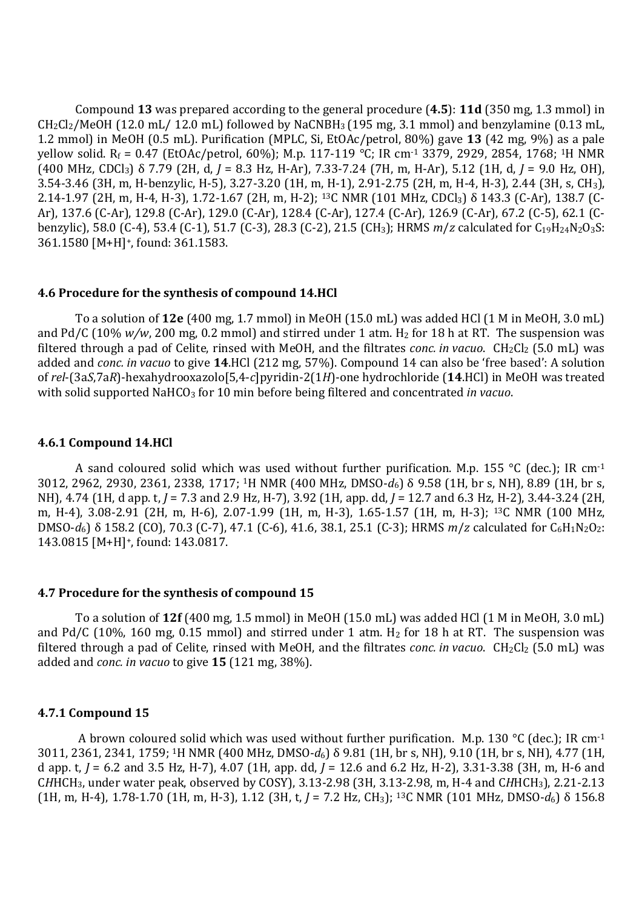Compound **13** was prepared according to the general procedure (**4.5**): **11d** (350 mg, 1.3 mmol) in  $CH_2Cl_2/MeOH$  (12.0 mL/ 12.0 mL) followed by NaCNBH<sub>3</sub> (195 mg, 3.1 mmol) and benzylamine (0.13 mL, 1.2 mmol) in MeOH (0.5 mL). Purification (MPLC, Si, EtOAc/petrol, 80%) gave **13** (42 mg, 9%) as a pale yellow solid. R<sub>f</sub> = 0.47 (EtOAc/petrol, 60%); M.p. 117-119 °C; IR cm<sup>-1</sup> 3379, 2929, 2854, 1768; <sup>1</sup>H NMR (400 MHz, CDCl3) δ 7.79 (2H, d, *J* = 8.3 Hz, H-Ar), 7.33-7.24 (7H, m, H-Ar), 5.12 (1H, d, *J* = 9.0 Hz, OH), 3.54-3.46 (3H, m, H-benzylic, H-5), 3.27-3.20 (1H, m, H-1), 2.91-2.75 (2H, m, H-4, H-3), 2.44 (3H, s, CH3), 2.14-1.97 (2H, m, H-4, H-3), 1.72-1.67 (2H, m, H-2); 13C NMR (101 MHz, CDCl3) δ 143.3 (C-Ar), 138.7 (C-Ar), 137.6 (C-Ar), 129.8 (C-Ar), 129.0 (C-Ar), 128.4 (C-Ar), 127.4 (C-Ar), 126.9 (C-Ar), 67.2 (C-5), 62.1 (Cbenzylic), 58.0 (C-4), 53.4 (C-1), 51.7 (C-3), 28.3 (C-2), 21.5 (CH<sub>3</sub>); HRMS *m/z* calculated for C<sub>19</sub>H<sub>24</sub>N<sub>2</sub>O<sub>3</sub>S: 361.1580 [M+H]+, found: 361.1583.

#### **4.6 Procedure for the synthesis of compound 14.HCl**

To a solution of **12e** (400 mg, 1.7 mmol) in MeOH (15.0 mL) was added HCl (1 M in MeOH, 3.0 mL) and Pd/C (10%  $w/w$ , 200 mg, 0.2 mmol) and stirred under 1 atm. H<sub>2</sub> for 18 h at RT. The suspension was filtered through a pad of Celite, rinsed with MeOH, and the filtrates *conc. in vacuo*. CH<sub>2</sub>Cl<sub>2</sub> (5.0 mL) was added and *conc. in vacuo* to give **14**.HCl (212 mg, 57%). Compound 14 can also be 'free based': A solution of *rel*-(3a*S*,7a*R*)-hexahydrooxazolo[5,4-*c*]pyridin-2(1*H*)-one hydrochloride (**14**.HCl) in MeOH was treated with solid supported NaHCO3 for 10 min before being filtered and concentrated *in vacuo*.

#### **4.6.1 Compound 14.HCl**

A sand coloured solid which was used without further purification. M.p. 155 °C (dec.); IR cm<sup>-1</sup> 3012, 2962, 2930, 2361, 2338, 1717; 1H NMR (400 MHz, DMSO-*d*6) δ 9.58 (1H, br s, NH), 8.89 (1H, br s, NH), 4.74 (1H, d app. t, *J* = 7.3 and 2.9 Hz, H-7), 3.92 (1H, app. dd, *J* = 12.7 and 6.3 Hz, H-2), 3.44-3.24 (2H, m, H-4), 3.08-2.91 (2H, m, H-6), 2.07-1.99 (1H, m, H-3), 1.65-1.57 (1H, m, H-3); 13C NMR (100 MHz, DMSO- $d_6$ ) δ 158.2 (CO), 70.3 (C-7), 47.1 (C-6), 41.6, 38.1, 25.1 (C-3); HRMS *m/z* calculated for C<sub>6</sub>H<sub>1</sub>N<sub>2</sub>O<sub>2</sub>: 143.0815 [M+H]<sup>+</sup>, found: 143.0817.

#### **4.7 Procedure for the synthesis of compound 15**

To a solution of **12f** (400 mg, 1.5 mmol) in MeOH (15.0 mL) was added HCl (1 M in MeOH, 3.0 mL) and Pd/C (10%, 160 mg, 0.15 mmol) and stirred under 1 atm. H<sub>2</sub> for 18 h at RT. The suspension was filtered through a pad of Celite, rinsed with MeOH, and the filtrates *conc. in vacuo.* CH<sub>2</sub>Cl<sub>2</sub> (5.0 mL) was added and *conc. in vacuo* to give **15** (121 mg, 38%).

#### **4.7.1 Compound 15**

A brown coloured solid which was used without further purification. M.p. 130 °C (dec.): IR cm<sup>-1</sup> 3011, 2361, 2341, 1759; 1H NMR (400 MHz, DMSO-*d*6) δ 9.81 (1H, br s, NH), 9.10 (1H, br s, NH), 4.77 (1H, d app. t, *J* = 6.2 and 3.5 Hz, H-7), 4.07 (1H, app. dd, *J* = 12.6 and 6.2 Hz, H-2), 3.31-3.38 (3H, m, H-6 and C*H*HCH3, under water peak, observed by COSY), 3.13-2.98 (3H, 3.13-2.98, m, H-4 and C*H*HCH3), 2.21-2.13 (1H, m, H-4), 1.78-1.70 (1H, m, H-3), 1.12 (3H, t, *J* = 7.2 Hz, CH3); <sup>13</sup>C NMR (101 MHz, DMSO-*d*6) δ 156.8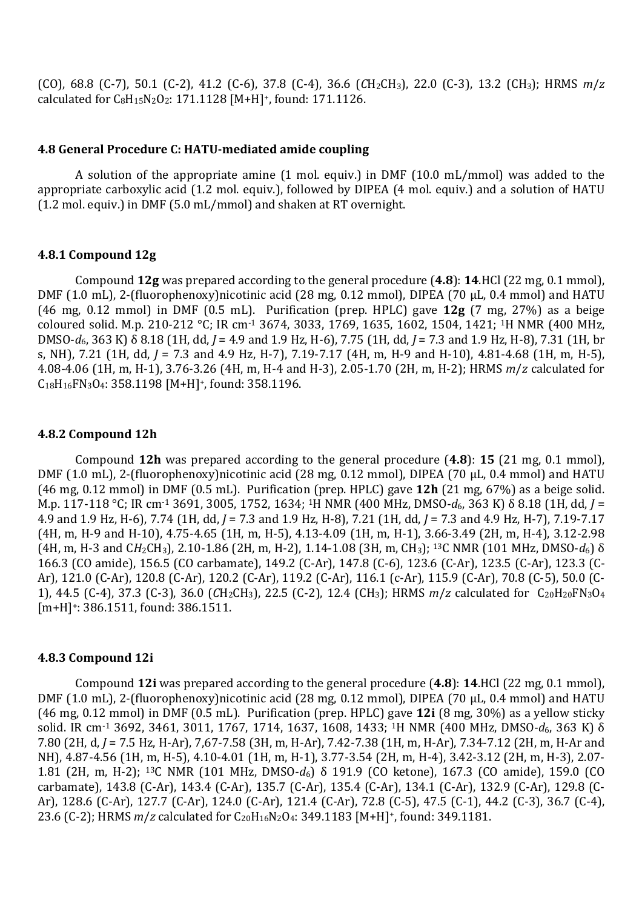$(CO)$ , 68.8  $(C-7)$ , 50.1  $(C-2)$ , 41.2  $(C-6)$ , 37.8  $(C-4)$ , 36.6  $(CH_2CH_3)$ , 22.0  $(C-3)$ , 13.2  $(CH_3)$ ; HRMS  $m/z$ calculated for C8H15N2O2: 171.1128 [M+H]+, found: 171.1126.

## **4.8 General Procedure C: HATU-mediated amide coupling**

A solution of the appropriate amine (1 mol. equiv.) in DMF (10.0 mL/mmol) was added to the appropriate carboxylic acid (1.2 mol. equiv.), followed by DIPEA (4 mol. equiv.) and a solution of HATU (1.2 mol. equiv.) in DMF (5.0 mL/mmol) and shaken at RT overnight.

#### **4.8.1 Compound 12g**

Compound **12g** was prepared according to the general procedure (**4.8**): **14**.HCl (22 mg, 0.1 mmol), DMF (1.0 mL), 2-(fluorophenoxy)nicotinic acid (28 mg, 0.12 mmol), DIPEA (70 μL, 0.4 mmol) and HATU (46 mg, 0.12 mmol) in DMF (0.5 mL). Purification (prep. HPLC) gave **12g** (7 mg, 27%) as a beige coloured solid. M.p. 210-212 °C; IR cm-1 3674, 3033, 1769, 1635, 1602, 1504, 1421; <sup>1</sup>H NMR (400 MHz, DMSO-*d*6, 363 K) δ 8.18 (1H, dd, *J* = 4.9 and 1.9 Hz, H-6), 7.75 (1H, dd, *J* = 7.3 and 1.9 Hz, H-8), 7.31 (1H, br s, NH), 7.21 (1H, dd, *J* = 7.3 and 4.9 Hz, H-7), 7.19-7.17 (4H, m, H-9 and H-10), 4.81-4.68 (1H, m, H-5), 4.08-4.06 (1H, m, H-1), 3.76-3.26 (4H, m, H-4 and H-3), 2.05-1.70 (2H, m, H-2); HRMS *m*/*z* calculated for C18H16FN3O4: 358.1198 [M+H]+, found: 358.1196.

#### **4.8.2 Compound 12h**

Compound **12h** was prepared according to the general procedure (**4.8**): **15** (21 mg, 0.1 mmol), DMF (1.0 mL), 2-(fluorophenoxy)nicotinic acid (28 mg, 0.12 mmol), DIPEA (70 μL, 0.4 mmol) and HATU (46 mg, 0.12 mmol) in DMF (0.5 mL). Purification (prep. HPLC) gave **12h** (21 mg, 67%) as a beige solid. M.p. 117-118 °C; IR cm-1 3691, 3005, 1752, 1634; <sup>1</sup>H NMR (400 MHz, DMSO-*d*6, 363 K) δ 8.18 (1H, dd, *J* = 4.9 and 1.9 Hz, H-6), 7.74 (1H, dd, *J* = 7.3 and 1.9 Hz, H-8), 7.21 (1H, dd, *J* = 7.3 and 4.9 Hz, H-7), 7.19-7.17 (4H, m, H-9 and H-10), 4.75-4.65 (1H, m, H-5), 4.13-4.09 (1H, m, H-1), 3.66-3.49 (2H, m, H-4), 3.12-2.98 (4H, m, H-3 and C*H*2CH3), 2.10-1.86 (2H, m, H-2), 1.14-1.08 (3H, m, CH3); 13C NMR (101 MHz, DMSO-*d*6) δ 166.3 (CO amide), 156.5 (CO carbamate), 149.2 (C-Ar), 147.8 (C-6), 123.6 (C-Ar), 123.5 (C-Ar), 123.3 (C-Ar), 121.0 (C-Ar), 120.8 (C-Ar), 120.2 (C-Ar), 119.2 (C-Ar), 116.1 (c-Ar), 115.9 (C-Ar), 70.8 (C-5), 50.0 (C-1), 44.5 (C-4), 37.3 (C-3), 36.0 (*CH*<sub>2</sub>CH<sub>3</sub>), 22.5 (C-2), 12.4 (CH<sub>3</sub>); HRMS *m/z* calculated for C<sub>20</sub>H<sub>20</sub>FN<sub>3</sub>O<sub>4</sub> [m+H]<sup>+</sup>: 386.1511, found: 386.1511.

#### **4.8.3 Compound 12i**

Compound **12i** was prepared according to the general procedure (**4.8**): **14**.HCl (22 mg, 0.1 mmol), DMF (1.0 mL), 2-(fluorophenoxy)nicotinic acid (28 mg, 0.12 mmol), DIPEA (70 μL, 0.4 mmol) and HATU (46 mg, 0.12 mmol) in DMF (0.5 mL). Purification (prep. HPLC) gave **12i** (8 mg, 30%) as a yellow sticky solid. IR cm<sup>-1</sup> 3692, 3461, 3011, 1767, 1714, 1637, 1608, 1433; <sup>1</sup>H NMR (400 MHz, DMSO-d<sub>6</sub>, 363 K) δ 7.80 (2H, d, *J* = 7.5 Hz, H-Ar), 7,67-7.58 (3H, m, H-Ar), 7.42-7.38 (1H, m, H-Ar), 7.34-7.12 (2H, m, H-Ar and NH), 4.87-4.56 (1H, m, H-5), 4.10-4.01 (1H, m, H-1), 3.77-3.54 (2H, m, H-4), 3.42-3.12 (2H, m, H-3), 2.07- 1.81 (2H, m, H-2); 13C NMR (101 MHz, DMSO-*d*6) δ 191.9 (CO ketone), 167.3 (CO amide), 159.0 (CO carbamate), 143.8 (C-Ar), 143.4 (C-Ar), 135.7 (C-Ar), 135.4 (C-Ar), 134.1 (C-Ar), 132.9 (C-Ar), 129.8 (C-Ar), 128.6 (C-Ar), 127.7 (C-Ar), 124.0 (C-Ar), 121.4 (C-Ar), 72.8 (C-5), 47.5 (C-1), 44.2 (C-3), 36.7 (C-4), 23.6 (C-2); HRMS *m/z* calculated for C<sub>20</sub>H<sub>16</sub>N<sub>2</sub>O<sub>4</sub>: 349.1183 [M+H]<sup>+</sup>, found: 349.1181.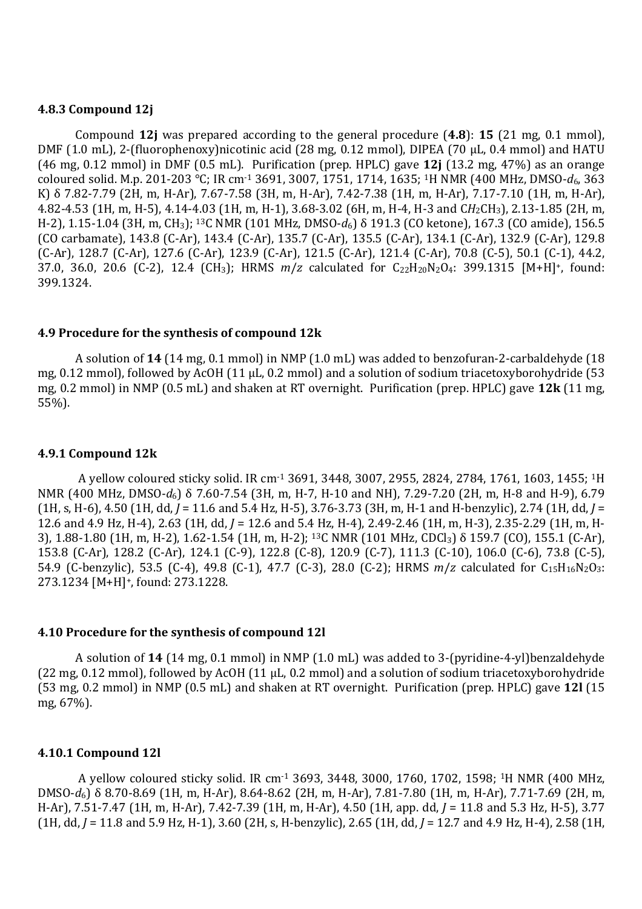#### **4.8.3 Compound 12j**

Compound **12j** was prepared according to the general procedure (**4.8**): **15** (21 mg, 0.1 mmol), DMF (1.0 mL), 2-(fluorophenoxy)nicotinic acid (28 mg, 0.12 mmol), DIPEA (70 μL, 0.4 mmol) and HATU (46 mg, 0.12 mmol) in DMF (0.5 mL). Purification (prep. HPLC) gave **12j** (13.2 mg, 47%) as an orange coloured solid. M.p. 201-203 °C; IR cm-1 3691, 3007, 1751, 1714, 1635; 1H NMR (400 MHz, DMSO-*d*6, 363 K) δ 7.82-7.79 (2H, m, H-Ar), 7.67-7.58 (3H, m, H-Ar), 7.42-7.38 (1H, m, H-Ar), 7.17-7.10 (1H, m, H-Ar), 4.82-4.53 (1H, m, H-5), 4.14-4.03 (1H, m, H-1), 3.68-3.02 (6H, m, H-4, H-3 and C*H*2CH3), 2.13-1.85 (2H, m, H-2), 1.15-1.04 (3H, m, CH3); 13C NMR (101 MHz, DMSO-*d*6) δ 191.3 (CO ketone), 167.3 (CO amide), 156.5 (CO carbamate), 143.8 (C-Ar), 143.4 (C-Ar), 135.7 (C-Ar), 135.5 (C-Ar), 134.1 (C-Ar), 132.9 (C-Ar), 129.8 (C-Ar), 128.7 (C-Ar), 127.6 (C-Ar), 123.9 (C-Ar), 121.5 (C-Ar), 121.4 (C-Ar), 70.8 (C-5), 50.1 (C-1), 44.2, 37.0, 36.0, 20.6 (C-2), 12.4 (CH<sub>3</sub>); HRMS  $m/z$  calculated for C<sub>22</sub>H<sub>20</sub>N<sub>2</sub>O<sub>4</sub>: 399.1315 [M+H]<sup>+</sup>, found: 399.1324.

#### **4.9 Procedure for the synthesis of compound 12k**

A solution of **14** (14 mg, 0.1 mmol) in NMP (1.0 mL) was added to benzofuran-2-carbaldehyde (18 mg, 0.12 mmol), followed by AcOH (11 μL, 0.2 mmol) and a solution of sodium triacetoxyborohydride (53 mg, 0.2 mmol) in NMP (0.5 mL) and shaken at RT overnight. Purification (prep. HPLC) gave **12k** (11 mg, 55%).

#### **4.9.1 Compound 12k**

 A yellow coloured sticky solid. IR cm-1 3691, 3448, 3007, 2955, 2824, 2784, 1761, 1603, 1455; 1H NMR (400 MHz, DMSO-*d*6) δ 7.60-7.54 (3H, m, H-7, H-10 and NH), 7.29-7.20 (2H, m, H-8 and H-9), 6.79 (1H, s, H-6), 4.50 (1H, dd, *J* = 11.6 and 5.4 Hz, H-5), 3.76-3.73 (3H, m, H-1 and H-benzylic), 2.74 (1H, dd, *J* = 12.6 and 4.9 Hz, H-4), 2.63 (1H, dd, *J* = 12.6 and 5.4 Hz, H-4), 2.49-2.46 (1H, m, H-3), 2.35-2.29 (1H, m, H-3), 1.88-1.80 (1H, m, H-2), 1.62-1.54 (1H, m, H-2); <sup>13</sup>C NMR (101 MHz, CDCl3) δ 159.7 (CO), 155.1 (C-Ar), 153.8 (C-Ar), 128.2 (C-Ar), 124.1 (C-9), 122.8 (C-8), 120.9 (C-7), 111.3 (C-10), 106.0 (C-6), 73.8 (C-5), 54.9 (C-benzylic), 53.5 (C-4), 49.8 (C-1), 47.7 (C-3), 28.0 (C-2); HRMS  $m/z$  calculated for C<sub>15</sub>H<sub>16</sub>N<sub>2</sub>O<sub>3</sub>: 273.1234 [M+H]+, found: 273.1228.

#### **4.10 Procedure for the synthesis of compound 12l**

A solution of **14** (14 mg, 0.1 mmol) in NMP (1.0 mL) was added to 3-(pyridine-4-yl)benzaldehyde (22 mg, 0.12 mmol), followed by AcOH (11 μL, 0.2 mmol) and a solution of sodium triacetoxyborohydride (53 mg, 0.2 mmol) in NMP (0.5 mL) and shaken at RT overnight. Purification (prep. HPLC) gave **12l** (15 mg, 67%).

#### **4.10.1 Compound 12l**

 A yellow coloured sticky solid. IR cm-1 3693, 3448, 3000, 1760, 1702, 1598; <sup>1</sup>H NMR (400 MHz, DMSO-*d*6) δ 8.70-8.69 (1H, m, H-Ar), 8.64-8.62 (2H, m, H-Ar), 7.81-7.80 (1H, m, H-Ar), 7.71-7.69 (2H, m, H-Ar), 7.51-7.47 (1H, m, H-Ar), 7.42-7.39 (1H, m, H-Ar), 4.50 (1H, app. dd, *J* = 11.8 and 5.3 Hz, H-5), 3.77 (1H, dd, *J* = 11.8 and 5.9 Hz, H-1), 3.60 (2H, s, H-benzylic), 2.65 (1H, dd, *J* = 12.7 and 4.9 Hz, H-4), 2.58 (1H,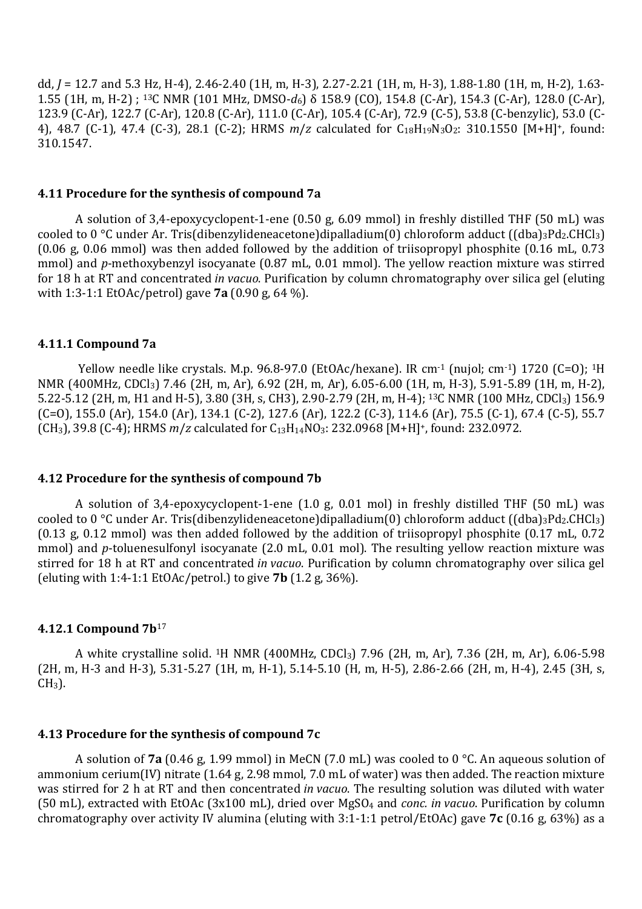dd, *J* = 12.7 and 5.3 Hz, H-4), 2.46-2.40 (1H, m, H-3), 2.27-2.21 (1H, m, H-3), 1.88-1.80 (1H, m, H-2), 1.63- 1.55 (1H, m, H-2) ; 13C NMR (101 MHz, DMSO-*d*6) δ 158.9 (CO), 154.8 (C-Ar), 154.3 (C-Ar), 128.0 (C-Ar), 123.9 (C-Ar), 122.7 (C-Ar), 120.8 (C-Ar), 111.0 (C-Ar), 105.4 (C-Ar), 72.9 (C-5), 53.8 (C-benzylic), 53.0 (C-4), 48.7 (C-1), 47.4 (C-3), 28.1 (C-2); HRMS *m*/*z* calculated for C18H19N3O2: 310.1550 [M+H]+, found: 310.1547.

#### **4.11 Procedure for the synthesis of compound 7a**

A solution of 3,4-epoxycyclopent-1-ene (0.50 g, 6.09 mmol) in freshly distilled THF (50 mL) was cooled to 0 °C under Ar. Tris(dibenzylideneacetone)dipalladium(0) chloroform adduct ((dba)<sub>3</sub>Pd<sub>2</sub>.CHCl<sub>3</sub>) (0.06 g, 0.06 mmol) was then added followed by the addition of triisopropyl phosphite (0.16 mL, 0.73 mmol) and *p*-methoxybenzyl isocyanate (0.87 mL, 0.01 mmol). The yellow reaction mixture was stirred for 18 h at RT and concentrated *in vacuo*. Purification by column chromatography over silica gel (eluting with 1:3-1:1 EtOAc/petrol) gave **7a** (0.90 g, 64 %).

#### **4.11.1 Compound 7a**

Yellow needle like crystals. M.p. 96.8-97.0 (EtOAc/hexane). IR cm<sup>-1</sup> (nujol; cm<sup>-1</sup>) 1720 (C=O); <sup>1</sup>H NMR (400MHz, CDCl3) 7.46 (2H, m, Ar), 6.92 (2H, m, Ar), 6.05-6.00 (1H, m, H-3), 5.91-5.89 (1H, m, H-2), 5.22-5.12 (2H, m, H1 and H-5), 3.80 (3H, s, CH3), 2.90-2.79 (2H, m, H-4); <sup>13</sup>C NMR (100 MHz, CDCl<sub>3</sub>) 156.9 (C=O), 155.0 (Ar), 154.0 (Ar), 134.1 (C-2), 127.6 (Ar), 122.2 (C-3), 114.6 (Ar), 75.5 (C-1), 67.4 (C-5), 55.7 (CH<sub>3</sub>), 39.8 (C-4); HRMS *m/z* calculated for C<sub>13</sub>H<sub>14</sub>NO<sub>3</sub>: 232.0968 [M+H]<sup>+</sup>, found: 232.0972.

#### **4.12 Procedure for the synthesis of compound 7b**

A solution of 3,4-epoxycyclopent-1-ene (1.0 g, 0.01 mol) in freshly distilled THF (50 mL) was cooled to 0 °C under Ar. Tris(dibenzylideneacetone)dipalladium(0) chloroform adduct ((dba)<sub>3</sub>Pd<sub>2</sub>.CHCl<sub>3</sub>) (0.13 g, 0.12 mmol) was then added followed by the addition of triisopropyl phosphite (0.17 mL, 0.72 mmol) and *p*-toluenesulfonyl isocyanate (2.0 mL, 0.01 mol). The resulting yellow reaction mixture was stirred for 18 h at RT and concentrated *in vacuo*. Purification by column chromatography over silica gel (eluting with 1:4-1:1 EtOAc/petrol.) to give **7b** (1.2 g, 36%).

#### **4.12.1 Compound 7b**<sup>17</sup>

A white crystalline solid. 1H NMR (400MHz, CDCl3) 7.96 (2H, m, Ar), 7.36 (2H, m, Ar), 6.06-5.98 (2H, m, H-3 and H-3), 5.31-5.27 (1H, m, H-1), 5.14-5.10 (H, m, H-5), 2.86-2.66 (2H, m, H-4), 2.45 (3H, s,  $CH<sub>3</sub>$ ).

#### **4.13 Procedure for the synthesis of compound 7c**

A solution of **7a** (0.46 g, 1.99 mmol) in MeCN (7.0 mL) was cooled to 0 °C. An aqueous solution of ammonium cerium(IV) nitrate (1.64 g, 2.98 mmol, 7.0 mL of water) was then added. The reaction mixture was stirred for 2 h at RT and then concentrated *in vacuo*. The resulting solution was diluted with water (50 mL), extracted with EtOAc (3x100 mL), dried over MgSO4 and *conc. in vacuo*. Purification by column chromatography over activity IV alumina (eluting with 3:1-1:1 petrol/EtOAc) gave **7c** (0.16 g, 63%) as a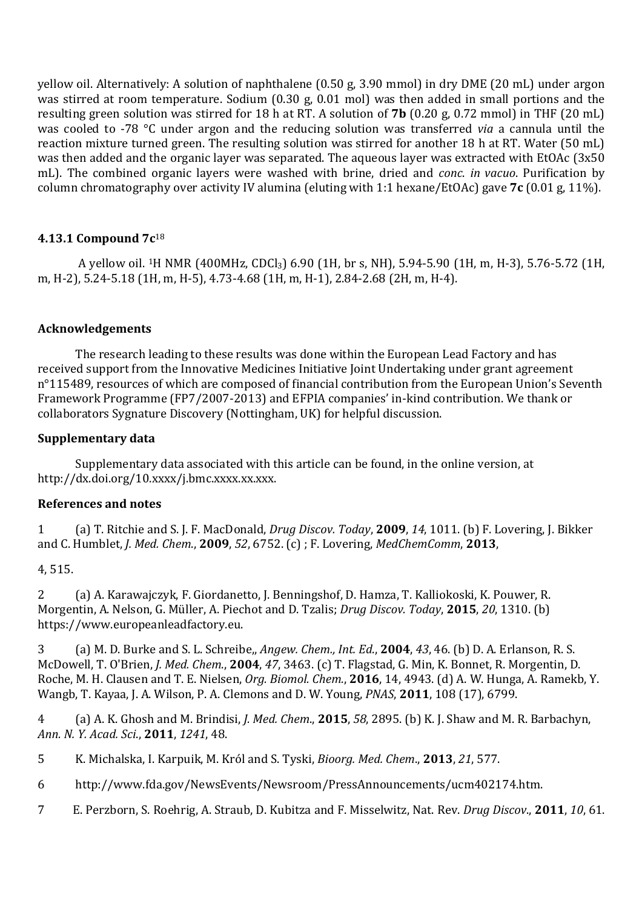yellow oil. Alternatively: A solution of naphthalene (0.50 g, 3.90 mmol) in dry DME (20 mL) under argon was stirred at room temperature. Sodium (0.30 g, 0.01 mol) was then added in small portions and the resulting green solution was stirred for 18 h at RT. A solution of **7b** (0.20 g, 0.72 mmol) in THF (20 mL) was cooled to -78 °C under argon and the reducing solution was transferred *via* a cannula until the reaction mixture turned green. The resulting solution was stirred for another 18 h at RT. Water (50 mL) was then added and the organic layer was separated. The aqueous layer was extracted with EtOAc (3x50 mL). The combined organic layers were washed with brine, dried and *conc*. *in vacuo*. Purification by column chromatography over activity IV alumina (eluting with 1:1 hexane/EtOAc) gave **7c** (0.01 g, 11%).

# **4.13.1 Compound 7c**<sup>18</sup>

 A yellow oil. <sup>1</sup>H NMR (400MHz, CDCl3) 6.90 (1H, br s, NH), 5.94-5.90 (1H, m, H-3), 5.76-5.72 (1H, m, H-2), 5.24-5.18 (1H, m, H-5), 4.73-4.68 (1H, m, H-1), 2.84-2.68 (2H, m, H-4).

## **Acknowledgements**

The research leading to these results was done within the European Lead Factory and has received support from the Innovative Medicines Initiative Joint Undertaking under grant agreement n°115489, resources of which are composed of financial contribution from the European Union's Seventh Framework Programme (FP7/2007-2013) and EFPIA companies' in-kind contribution. We thank or collaborators Sygnature Discovery (Nottingham, UK) for helpful discussion.

## **Supplementary data**

Supplementary data associated with this article can be found, in the online version, at http://dx.doi.org/10.xxxx/j.bmc.xxxx.xx.xxx.

## **References and notes**

1 (a) T. Ritchie and S. J. F. MacDonald, *Drug Discov. Today*, **2009**, *14*, 1011. (b) F. Lovering, J. Bikker and C. Humblet, *J. Med. Chem*., **2009**, *52*, 6752. (c) ; F. Lovering, *MedChemComm*, **2013**,

## 4, 515.

2 (a) A. Karawajczyk, F. Giordanetto, J. Benningshof, D. Hamza, T. Kalliokoski, K. Pouwer, R. Morgentin, A. Nelson, G. Müller, A. Piechot and D. Tzalis; *Drug Discov. Today*, **2015**, *20*, 1310. (b) https://www.europeanleadfactory.eu.

3 (a) M. D. Burke and S. L. Schreibe,, *Angew. Chem., Int. Ed*., **2004**, *43*, 46. (b) D. A. Erlanson, R. S. McDowell, T. O'Brien, *J. Med. Chem*., **2004**, *47*, 3463. (c) T. Flagstad, G. Min, K. Bonnet, R. Morgentin, D. Roche, M. H. Clausen and T. E. Nielsen, *Org. Biomol. Chem.*, **2016**, 14, 4943. (d) A. W. Hunga, A. Ramekb, Y. Wangb, T. Kayaa, J. A. Wilson, P. A. Clemons and D. W. Young, *PNAS*, **2011**, 108 (17), 6799.

4 (a) A. K. Ghosh and M. Brindisi, *J. Med. Chem*., **2015**, *58*, 2895. (b) K. J. Shaw and M. R. Barbachyn, *Ann. N. Y. Acad. Sci*., **2011**, *1241*, 48.

5 K. Michalska, I. Karpuik, M. Król and S. Tyski, *Bioorg. Med. Chem*., **2013**, *21*, 577.

6 http://www.fda.gov/NewsEvents/Newsroom/PressAnnouncements/ucm402174.htm.

7 E. Perzborn, S. Roehrig, A. Straub, D. Kubitza and F. Misselwitz, Nat. Rev. *Drug Discov*., **2011**, *10*, 61.